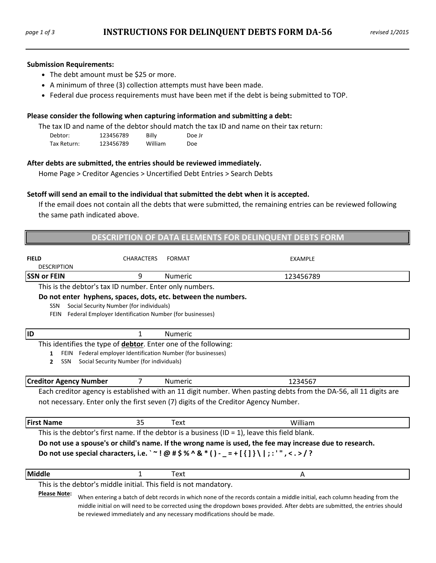#### **Submission Requirements:**

- The debt amount must be \$25 or more.
- A minimum of three (3) collection attempts must have been made.
- Federal due process requirements must have been met if the debt is being submitted to TOP.

#### **Please consider the following when capturing information and submitting a debt:**

The tax ID and name of the debtor should match the tax ID and name on their tax return:

| Debtor:     | 123456789 | Billy   | Doe Jr     |
|-------------|-----------|---------|------------|
| Tax Return: | 123456789 | William | <b>Doe</b> |

## **After debts are submitted, the entries should be reviewed immediately.**

Home Page > Creditor Agencies > Uncertified Debt Entries > Search Debts

## **Setoff will send an email to the individual that submitted the debt when it is accepted.**

If the email does not contain all the debts that were submitted, the remaining entries can be reviewed following the same path indicated above.

|                                                                                                                                                                                                                |                                                                                                          |                | DESCRIPTION OF DATA ELEMENTS FOR DELINQUENT DEBTS FORM                                                                                                                                                                                                                                                                               |  |
|----------------------------------------------------------------------------------------------------------------------------------------------------------------------------------------------------------------|----------------------------------------------------------------------------------------------------------|----------------|--------------------------------------------------------------------------------------------------------------------------------------------------------------------------------------------------------------------------------------------------------------------------------------------------------------------------------------|--|
| <b>FIELD</b><br><b>DESCRIPTION</b>                                                                                                                                                                             | <b>CHARACTERS</b>                                                                                        | <b>FORMAT</b>  | EXAMPLE                                                                                                                                                                                                                                                                                                                              |  |
| <b>SSN or FEIN</b>                                                                                                                                                                                             | 9                                                                                                        | <b>Numeric</b> | 123456789                                                                                                                                                                                                                                                                                                                            |  |
| This is the debtor's tax ID number. Enter only numbers.                                                                                                                                                        |                                                                                                          |                |                                                                                                                                                                                                                                                                                                                                      |  |
| Do not enter hyphens, spaces, dots, etc. between the numbers.<br><b>SSN</b><br><b>FEIN</b>                                                                                                                     | Social Security Number (for individuals)<br>Federal Employer Identification Number (for businesses)      |                |                                                                                                                                                                                                                                                                                                                                      |  |
| <b>ID</b>                                                                                                                                                                                                      | 1                                                                                                        | <b>Numeric</b> |                                                                                                                                                                                                                                                                                                                                      |  |
| This identifies the type of debtor. Enter one of the following:<br>$\mathbf{1}$<br>SSN<br>$\mathbf{2}$                                                                                                         | FEIN Federal employer Identification Number (for businesses)<br>Social Security Number (for individuals) |                |                                                                                                                                                                                                                                                                                                                                      |  |
| <b>Creditor Agency Number</b>                                                                                                                                                                                  | 7                                                                                                        | <b>Numeric</b> | 1234567                                                                                                                                                                                                                                                                                                                              |  |
|                                                                                                                                                                                                                |                                                                                                          |                | Each creditor agency is established with an 11 digit number. When pasting debts from the DA-56, all 11 digits are<br>not necessary. Enter only the first seven (7) digits of the Creditor Agency Number.                                                                                                                             |  |
| <b>First Name</b>                                                                                                                                                                                              | 35                                                                                                       | Text           | William                                                                                                                                                                                                                                                                                                                              |  |
|                                                                                                                                                                                                                |                                                                                                          |                | This is the debtor's first name. If the debtor is a business (ID = $1$ ), leave this field blank.                                                                                                                                                                                                                                    |  |
| Do not use a spouse's or child's name. If the wrong name is used, the fee may increase due to research.<br>Do not use special characters, i.e. ` ~ ! @ # \$ % ^ & * () - _ = + [ { ] } \   ; : ' " , < . > / ? |                                                                                                          |                |                                                                                                                                                                                                                                                                                                                                      |  |
| Middle                                                                                                                                                                                                         | 1                                                                                                        | Text           | A                                                                                                                                                                                                                                                                                                                                    |  |
| This is the debtor's middle initial. This field is not mandatory.<br><b>Please Note:</b>                                                                                                                       |                                                                                                          |                | When entering a batch of debt records in which none of the records contain a middle initial, each column heading from the<br>middle initial on will need to be corrected using the dropdown boxes provided. After debts are submitted, the entries should<br>be reviewed immediately and any necessary modifications should be made. |  |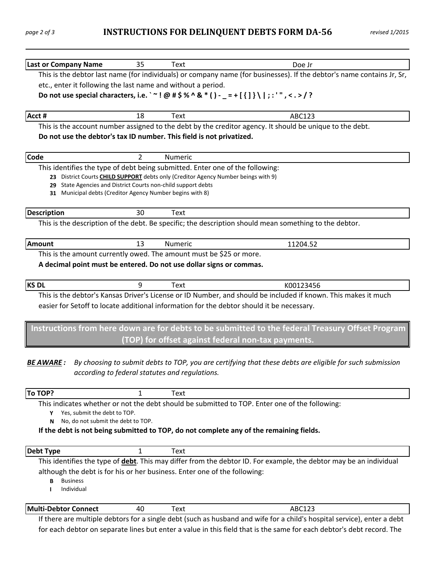# *page <sup>2</sup> of <sup>3</sup>* **. INSTRUCTIONS FOR DELINQUENT DEBTS FORM DA‐56 .***revised 1/2015*

| <b>Last or Company Name</b>                                                                                                | 35             | <b>Text</b>                                    | Doe Jr                                                                                                                  |
|----------------------------------------------------------------------------------------------------------------------------|----------------|------------------------------------------------|-------------------------------------------------------------------------------------------------------------------------|
|                                                                                                                            |                |                                                | This is the debtor last name (for individuals) or company name (for businesses). If the debtor's name contains Jr, Sr,  |
| etc., enter it following the last name and without a period.                                                               |                |                                                |                                                                                                                         |
|                                                                                                                            |                |                                                | Do not use special characters, i.e. ` ~! @ # \$ % ^ & * () - _ = + [ $\{$ ] } \ ;:'", < . > / ?                         |
|                                                                                                                            |                |                                                |                                                                                                                         |
| Acct #                                                                                                                     | 18             | Text                                           | ABC123                                                                                                                  |
|                                                                                                                            |                |                                                | This is the account number assigned to the debt by the creditor agency. It should be unique to the debt.                |
| Do not use the debtor's tax ID number. This field is not privatized.                                                       |                |                                                |                                                                                                                         |
|                                                                                                                            |                |                                                |                                                                                                                         |
| Code                                                                                                                       | $\overline{2}$ | Numeric                                        |                                                                                                                         |
| This identifies the type of debt being submitted. Enter one of the following:                                              |                |                                                |                                                                                                                         |
|                                                                                                                            |                |                                                | 23 District Courts CHILD SUPPORT debts only (Creditor Agency Number beings with 9)                                      |
| 29 State Agencies and District Courts non-child support debts<br>31 Municipal debts (Creditor Agency Number begins with 8) |                |                                                |                                                                                                                         |
|                                                                                                                            |                |                                                |                                                                                                                         |
| <b>Description</b>                                                                                                         | 30             | Text                                           |                                                                                                                         |
|                                                                                                                            |                |                                                | This is the description of the debt. Be specific; the description should mean something to the debtor.                  |
|                                                                                                                            |                |                                                |                                                                                                                         |
| <b>Amount</b>                                                                                                              | 13             | Numeric                                        | 11204.52                                                                                                                |
| This is the amount currently owed. The amount must be \$25 or more.                                                        |                |                                                |                                                                                                                         |
| A decimal point must be entered. Do not use dollar signs or commas.                                                        |                |                                                |                                                                                                                         |
|                                                                                                                            |                |                                                |                                                                                                                         |
| <b>KS DL</b>                                                                                                               | 9              | Text                                           | K00123456                                                                                                               |
|                                                                                                                            |                |                                                | This is the debtor's Kansas Driver's License or ID Number, and should be included if known. This makes it much          |
|                                                                                                                            |                |                                                | easier for Setoff to locate additional information for the debtor should it be necessary.                               |
|                                                                                                                            |                |                                                | Instructions from here down are for debts to be submitted to the federal Treasury Offset Program                        |
|                                                                                                                            |                |                                                |                                                                                                                         |
|                                                                                                                            |                |                                                | (TOP) for offset against federal non-tax payments.                                                                      |
|                                                                                                                            |                |                                                |                                                                                                                         |
| <b>BE AWARE:</b>                                                                                                           |                |                                                | By choosing to submit debts to TOP, you are certifying that these debts are eligible for such submission                |
|                                                                                                                            |                | according to federal statutes and regulations. |                                                                                                                         |
| To TOP?                                                                                                                    | 1              | Text                                           |                                                                                                                         |
|                                                                                                                            |                |                                                | This indicates whether or not the debt should be submitted to TOP. Enter one of the following:                          |
| Yes, submit the debt to TOP.<br>Υ                                                                                          |                |                                                |                                                                                                                         |
| No, do not submit the debt to TOP.<br>N                                                                                    |                |                                                |                                                                                                                         |
|                                                                                                                            |                |                                                | If the debt is not being submitted to TOP, do not complete any of the remaining fields.                                 |
|                                                                                                                            |                |                                                |                                                                                                                         |
| <b>Debt Type</b>                                                                                                           | 1              | Text                                           |                                                                                                                         |
|                                                                                                                            |                |                                                | This identifies the type of debt. This may differ from the debtor ID. For example, the debtor may be an individual      |
| although the debt is for his or her business. Enter one of the following:                                                  |                |                                                |                                                                                                                         |
| <b>Business</b><br>В                                                                                                       |                |                                                |                                                                                                                         |
| Individual<br>ı                                                                                                            |                |                                                |                                                                                                                         |
| <b>Multi-Debtor Connect</b>                                                                                                | 40             | <b>Text</b>                                    | ABC123                                                                                                                  |
|                                                                                                                            |                |                                                | If there are multiple debtors for a single debt (such as husband and wife for a child's hospital service), enter a debt |
|                                                                                                                            |                |                                                | for each debtor on separate lines but enter a value in this field that is the same for each debtor's debt record. The   |
|                                                                                                                            |                |                                                |                                                                                                                         |